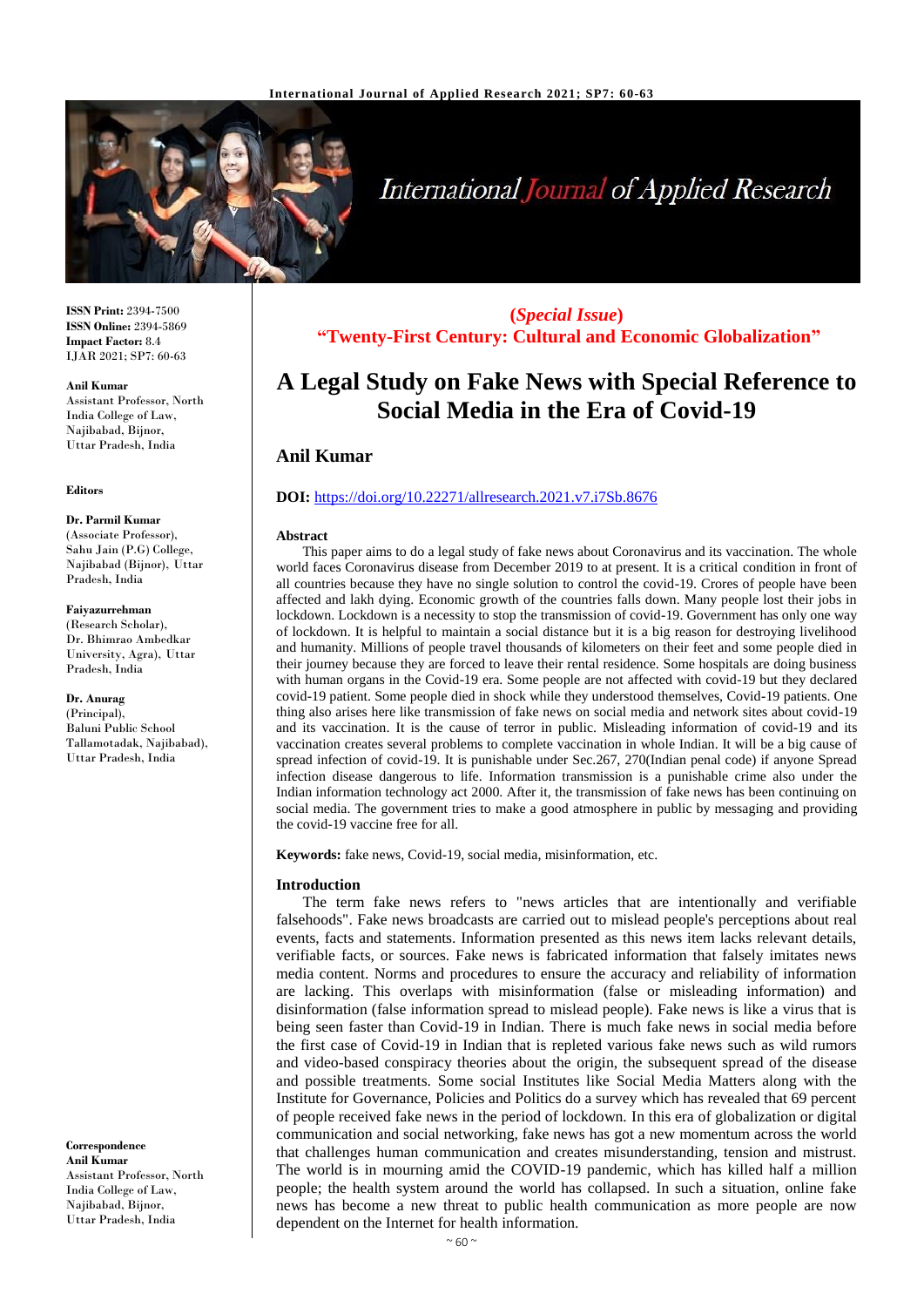

# **International Journal of Applied Research**

**ISSN Print:** 2394-7500 **ISSN Online:** 2394-5869 **Impact Factor:** 8.4 IJAR 2021; SP7: 60-63

#### **Anil Kumar**

Assistant Professor, North India College of Law, Najibabad, Bijnor, Uttar Pradesh, India

#### **Editors**

## **Dr. Parmil Kumar**

(Associate Professor), Sahu Jain (P.G) College, Najibabad (Bijnor), Uttar Pradesh, India

#### **Faiyazurrehman**

(Research Scholar), Dr. Bhimrao Ambedkar University, Agra), Uttar Pradesh, India

**Dr. Anurag** (Principal), Baluni Public School Tallamotadak, Najibabad), Uttar Pradesh, India

**Correspondence Anil Kumar** Assistant Professor, North India College of Law, Najibabad, Bijnor, Uttar Pradesh, India

**(***Special Issue***) "Twenty-First Century: Cultural and Economic Globalization"**

## **A Legal Study on Fake News with Special Reference to Social Media in the Era of Covid-19**

## **Anil Kumar**

## **DOI:** <https://doi.org/10.22271/allresearch.2021.v7.i7Sb.8676>

#### **Abstract**

This paper aims to do a legal study of fake news about Coronavirus and its vaccination. The whole world faces Coronavirus disease from December 2019 to at present. It is a critical condition in front of all countries because they have no single solution to control the covid-19. Crores of people have been affected and lakh dying. Economic growth of the countries falls down. Many people lost their jobs in lockdown. Lockdown is a necessity to stop the transmission of covid-19. Government has only one way of lockdown. It is helpful to maintain a social distance but it is a big reason for destroying livelihood and humanity. Millions of people travel thousands of kilometers on their feet and some people died in their journey because they are forced to leave their rental residence. Some hospitals are doing business with human organs in the Covid-19 era. Some people are not affected with covid-19 but they declared covid-19 patient. Some people died in shock while they understood themselves, Covid-19 patients. One thing also arises here like transmission of fake news on social media and network sites about covid-19 and its vaccination. It is the cause of terror in public. Misleading information of covid-19 and its vaccination creates several problems to complete vaccination in whole Indian. It will be a big cause of spread infection of covid-19. It is punishable under Sec.267, 270(Indian penal code) if anyone Spread infection disease dangerous to life. Information transmission is a punishable crime also under the Indian information technology act 2000. After it, the transmission of fake news has been continuing on social media. The government tries to make a good atmosphere in public by messaging and providing the covid-19 vaccine free for all.

**Keywords:** fake news, Covid-19, social media, misinformation, etc.

#### **Introduction**

The term fake news refers to "news articles that are intentionally and verifiable falsehoods". Fake news broadcasts are carried out to mislead people's perceptions about real events, facts and statements. Information presented as this news item lacks relevant details, verifiable facts, or sources. Fake news is fabricated information that falsely imitates news media content. Norms and procedures to ensure the accuracy and reliability of information are lacking. This overlaps with misinformation (false or misleading information) and disinformation (false information spread to mislead people). Fake news is like a virus that is being seen faster than Covid-19 in Indian. There is much fake news in social media before the first case of Covid-19 in Indian that is repleted various fake news such as wild rumors and video-based conspiracy theories about the origin, the subsequent spread of the disease and possible treatments. Some social Institutes like Social Media Matters along with the Institute for Governance, Policies and Politics do a survey which has revealed that 69 percent of people received fake news in the period of lockdown. In this era of globalization or digital communication and social networking, fake news has got a new momentum across the world that challenges human communication and creates misunderstanding, tension and mistrust. The world is in mourning amid the COVID-19 pandemic, which has killed half a million people; the health system around the world has collapsed. In such a situation, online fake news has become a new threat to public health communication as more people are now dependent on the Internet for health information.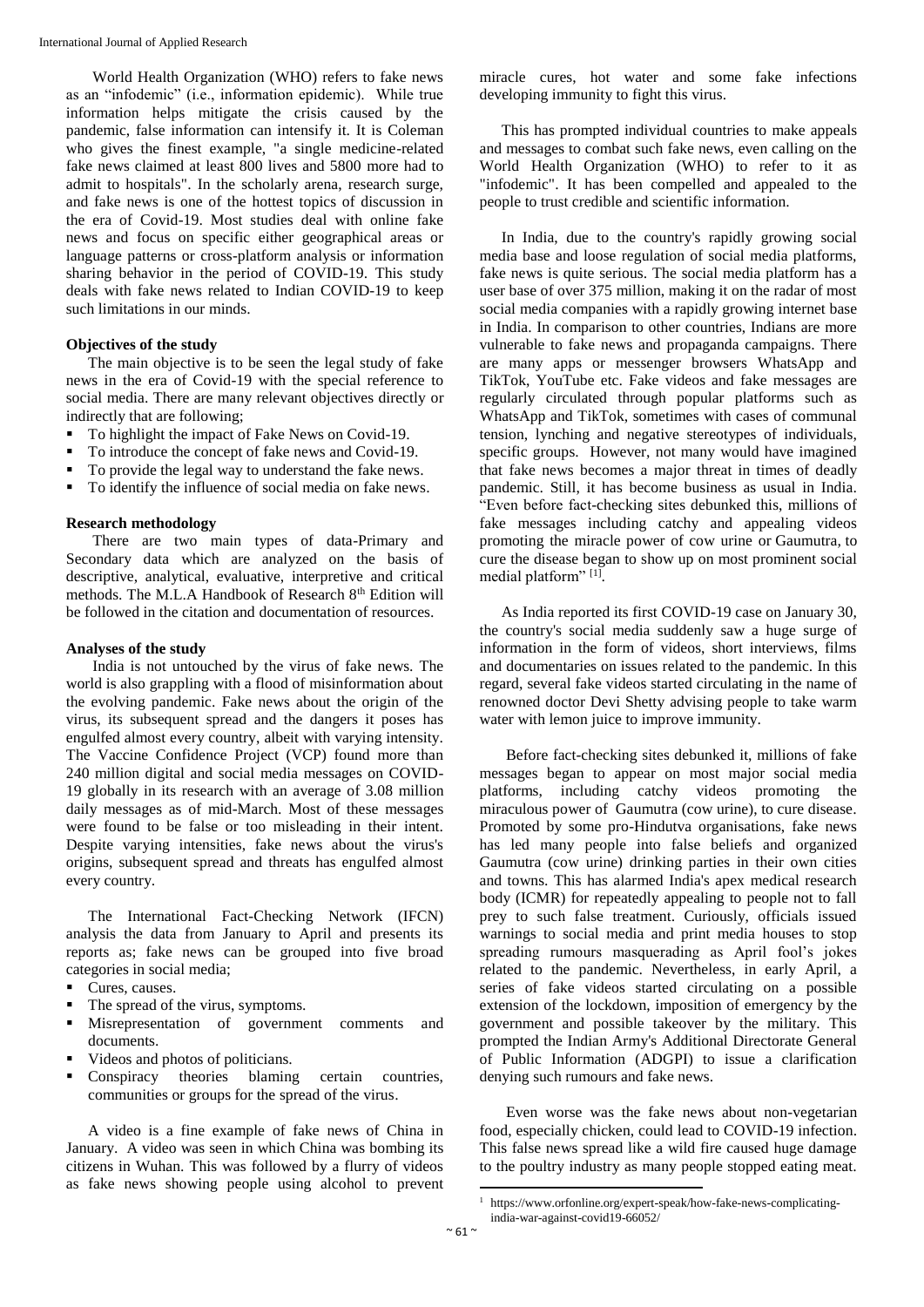World Health Organization (WHO) refers to fake news as an "infodemic" (i.e., information epidemic). While true information helps mitigate the crisis caused by the pandemic, false information can intensify it. It is Coleman who gives the finest example, "a single medicine-related fake news claimed at least 800 lives and 5800 more had to admit to hospitals". In the scholarly arena, research surge, and fake news is one of the hottest topics of discussion in the era of Covid-19. Most studies deal with online fake news and focus on specific either geographical areas or language patterns or cross-platform analysis or information sharing behavior in the period of COVID-19. This study deals with fake news related to Indian COVID-19 to keep such limitations in our minds.

## **Objectives of the study**

The main objective is to be seen the legal study of fake news in the era of Covid-19 with the special reference to social media. There are many relevant objectives directly or indirectly that are following;

- To highlight the impact of Fake News on Covid-19.
- To introduce the concept of fake news and Covid-19.
- To provide the legal way to understand the fake news.
- To identify the influence of social media on fake news.

## **Research methodology**

There are two main types of data-Primary and Secondary data which are analyzed on the basis of descriptive, analytical, evaluative, interpretive and critical methods. The M.L.A Handbook of Research 8<sup>th</sup> Edition will be followed in the citation and documentation of resources.

## **Analyses of the study**

India is not untouched by the virus of fake news. The world is also grappling with a flood of misinformation about the evolving pandemic. Fake news about the origin of the virus, its subsequent spread and the dangers it poses has engulfed almost every country, albeit with varying intensity. The Vaccine Confidence Project (VCP) found more than 240 million digital and social media messages on COVID-19 globally in its research with an average of 3.08 million daily messages as of mid-March. Most of these messages were found to be false or too misleading in their intent. Despite varying intensities, fake news about the virus's origins, subsequent spread and threats has engulfed almost every country.

The International Fact-Checking Network (IFCN) analysis the data from January to April and presents its reports as; fake news can be grouped into five broad categories in social media;

- Cures, causes.
- The spread of the virus, symptoms.
- Misrepresentation of government comments and documents.
- Videos and photos of politicians.
- Conspiracy theories blaming certain countries, communities or groups for the spread of the virus.

A video is a fine example of fake news of China in January. A video was seen in which China was bombing its citizens in Wuhan. This was followed by a flurry of videos as fake news showing people using alcohol to prevent

miracle cures, hot water and some fake infections developing immunity to fight this virus.

This has prompted individual countries to make appeals and messages to combat such fake news, even calling on the World Health Organization (WHO) to refer to it as "infodemic". It has been compelled and appealed to the people to trust credible and scientific information.

In India, due to the country's rapidly growing social media base and loose regulation of social media platforms, fake news is quite serious. The social media platform has a user base of over 375 million, making it on the radar of most social media companies with a rapidly growing internet base in India. In comparison to other countries, Indians are more vulnerable to fake news and propaganda campaigns. There are many apps or messenger browsers WhatsApp and TikTok, YouTube etc. Fake videos and fake messages are regularly circulated through popular platforms such as WhatsApp and TikTok, sometimes with cases of communal tension, lynching and negative stereotypes of individuals, specific groups. However, not many would have imagined that fake news becomes a major threat in times of deadly pandemic. Still, it has become business as usual in India. "Even before fact-checking sites debunked this, millions of fake messages including catchy and appealing videos promoting the miracle power of cow urine or Gaumutra*,* to cure the disease began to show up on most prominent social medial platform"<sup>[1]</sup>.

As India reported its first COVID-19 case on January 30, the country's social media suddenly saw a huge surge of information in the form of videos, short interviews, films and documentaries on issues related to the pandemic. In this regard, several fake videos started circulating in the name of renowned doctor Devi Shetty advising people to take warm water with lemon juice to improve immunity.

Before fact-checking sites debunked it, millions of fake messages began to appear on most major social media platforms, including catchy videos promoting the miraculous power of Gaumutra (cow urine), to cure disease. Promoted by some pro-Hindutva organisations, fake news has led many people into false beliefs and organized Gaumutra (cow urine) drinking parties in their own cities and towns. This has alarmed India's apex medical research body (ICMR) for repeatedly appealing to people not to fall prey to such false treatment. Curiously, officials issued warnings to social media and print media houses to stop spreading rumours masquerading as April fool's jokes related to the pandemic. Nevertheless, in early April, a series of fake videos started circulating on a possible extension of the lockdown, imposition of emergency by the government and possible takeover by the military. This prompted the Indian Army's Additional Directorate General of Public Information (ADGPI) to issue a clarification denying such rumours and fake news.

Even worse was the fake news about non-vegetarian food, especially chicken, could lead to COVID-19 infection. This false news spread like a wild fire caused huge damage to the poultry industry as many people stopped eating meat.

 $\overline{a}$ 

https://www.orfonline.org/expert-speak/how-fake-news-complicatingindia-war-against-covid19-66052/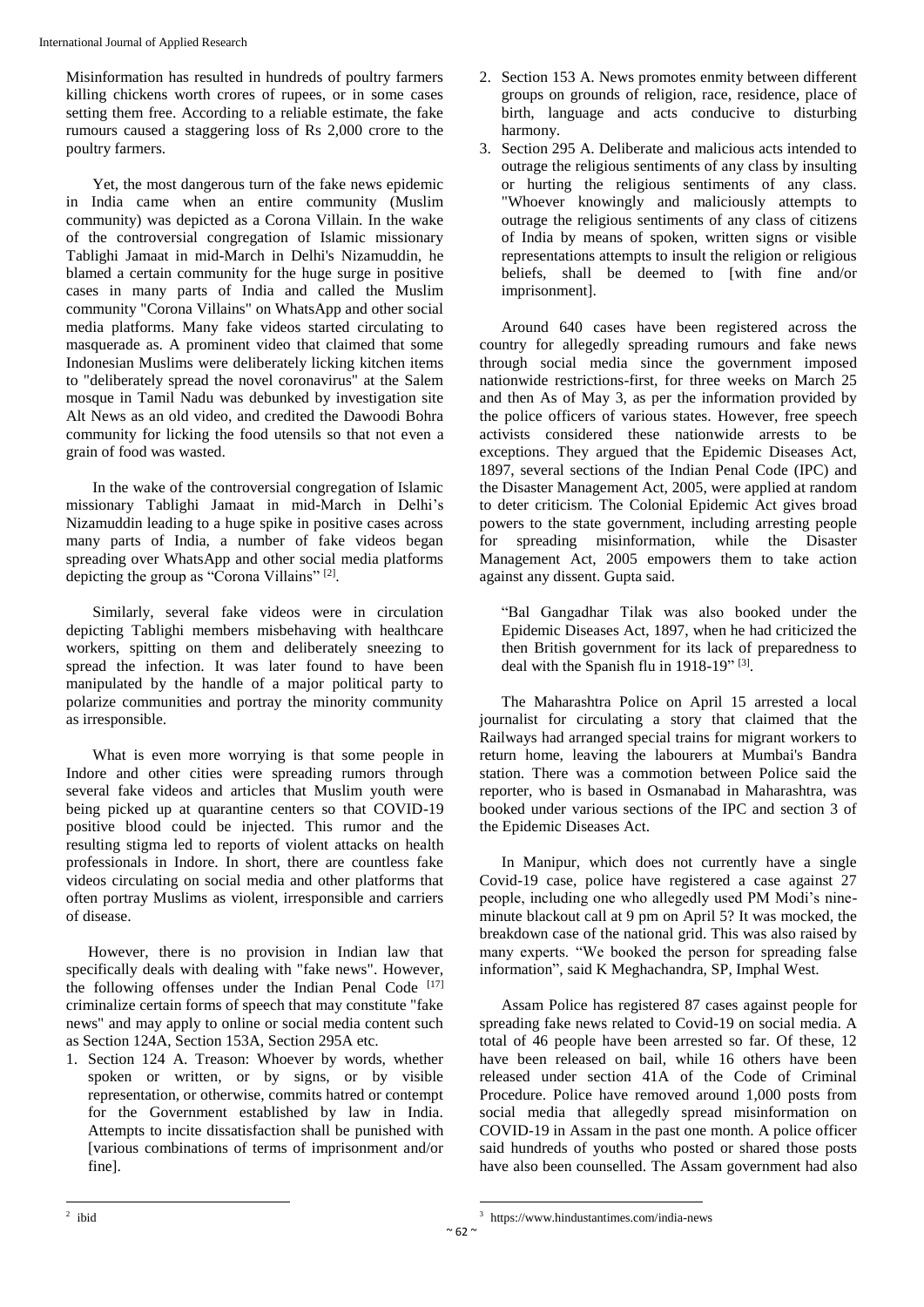Misinformation has resulted in hundreds of poultry farmers killing chickens worth crores of rupees, or in some cases setting them free. According to a reliable estimate, the fake rumours caused a staggering loss of Rs 2,000 crore to the poultry farmers.

Yet, the most dangerous turn of the fake news epidemic in India came when an entire community (Muslim community) was depicted as a Corona Villain. In the wake of the controversial congregation of Islamic missionary Tablighi Jamaat in mid-March in Delhi's Nizamuddin, he blamed a certain community for the huge surge in positive cases in many parts of India and called the Muslim community "Corona Villains" on WhatsApp and other social media platforms. Many fake videos started circulating to masquerade as. A prominent video that claimed that some Indonesian Muslims were deliberately licking kitchen items to "deliberately spread the novel coronavirus" at the Salem mosque in Tamil Nadu was debunked by investigation site Alt News as an old video, and credited the Dawoodi Bohra community for licking the food utensils so that not even a grain of food was wasted.

In the wake of the controversial congregation of Islamic missionary Tablighi Jamaat in mid-March in Delhi's Nizamuddin leading to a huge spike in positive cases across many parts of India, a number of fake videos began spreading over WhatsApp and other social media platforms depicting the group as "Corona Villains"<sup>[2]</sup>.

Similarly, several fake videos were in circulation depicting Tablighi members misbehaving with healthcare workers, spitting on them and deliberately sneezing to spread the infection. It was later found to have been manipulated by the handle of a major political party to polarize communities and portray the minority community as irresponsible.

What is even more worrying is that some people in Indore and other cities were spreading rumors through several fake videos and articles that Muslim youth were being picked up at quarantine centers so that COVID-19 positive blood could be injected. This rumor and the resulting stigma led to reports of violent attacks on health professionals in Indore. In short, there are countless fake videos circulating on social media and other platforms that often portray Muslims as violent, irresponsible and carriers of disease.

However, there is no provision in Indian law that specifically deals with dealing with "fake news". However, the following offenses under the Indian Penal Code [17] criminalize certain forms of speech that may constitute "fake news" and may apply to online or social media content such as Section 124A, Section 153A, Section 295A etc.

1. Section 124 A. Treason: Whoever by words, whether spoken or written, or by signs, or by visible representation, or otherwise, commits hatred or contempt for the Government established by law in India. Attempts to incite dissatisfaction shall be punished with [various combinations of terms of imprisonment and/or fine].

- 2. Section 153 A. News promotes enmity between different groups on grounds of religion, race, residence, place of birth, language and acts conducive to disturbing harmony.
- 3. Section 295 A. Deliberate and malicious acts intended to outrage the religious sentiments of any class by insulting or hurting the religious sentiments of any class. "Whoever knowingly and maliciously attempts to outrage the religious sentiments of any class of citizens of India by means of spoken, written signs or visible representations attempts to insult the religion or religious beliefs, shall be deemed to [with fine and/or imprisonment].

Around 640 cases have been registered across the country for allegedly spreading rumours and fake news through social media since the government imposed nationwide restrictions-first, for three weeks on March 25 and then As of May 3, as per the information provided by the police officers of various states. However, free speech activists considered these nationwide arrests to be exceptions. They argued that the Epidemic Diseases Act, 1897, several sections of the Indian Penal Code (IPC) and the Disaster Management Act, 2005, were applied at random to deter criticism. The Colonial Epidemic Act gives broad powers to the state government, including arresting people for spreading misinformation, while the Disaster Management Act, 2005 empowers them to take action against any dissent. Gupta said.

"Bal Gangadhar Tilak was also booked under the Epidemic Diseases Act, 1897, when he had criticized the then British government for its lack of preparedness to deal with the Spanish flu in  $1918-19$ <sup>" [3]</sup>.

The Maharashtra Police on April 15 arrested a local journalist for circulating a story that claimed that the Railways had arranged special trains for migrant workers to return home, leaving the labourers at Mumbai's Bandra station. There was a commotion between Police said the reporter, who is based in Osmanabad in Maharashtra, was booked under various sections of the IPC and section 3 of the Epidemic Diseases Act.

In Manipur, which does not currently have a single Covid-19 case, police have registered a case against 27 people, including one who allegedly used PM Modi's nineminute blackout call at 9 pm on April 5? It was mocked, the breakdown case of the national grid. This was also raised by many experts. "We booked the person for spreading false information", said K Meghachandra, SP, Imphal West.

Assam Police has registered 87 cases against people for spreading fake news related to Covid-19 on social media. A total of 46 people have been arrested so far. Of these, 12 have been released on bail, while 16 others have been released under section 41A of the Code of Criminal Procedure. Police have removed around 1,000 posts from social media that allegedly spread misinformation on COVID-19 in Assam in the past one month. A police officer said hundreds of youths who posted or shared those posts have also been counselled. The Assam government had also

 $\ddot{\phantom{a}}$ 

 2 ibid

<sup>3</sup> https://www.hindustantimes.com/india-news